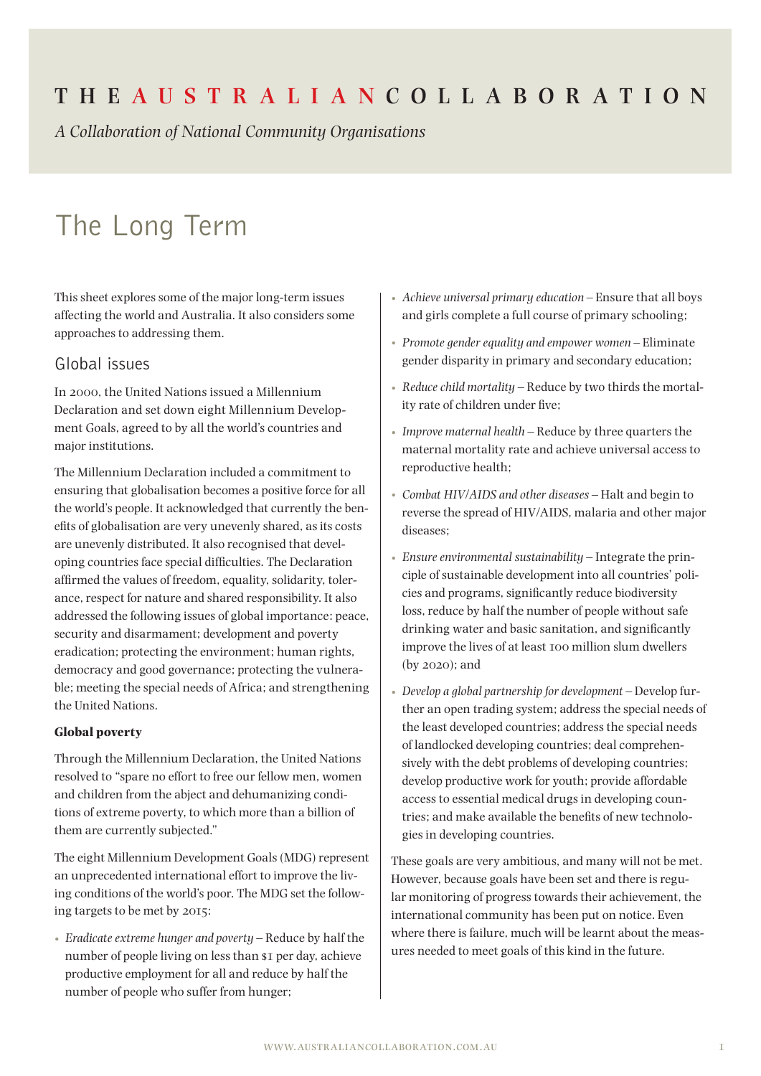# **The Aus t r a l i a n Coll a bor at ion**

*A Collaboration of National Community Organisations*

# The Long Term

This sheet explores some of the major long-term issues affecting the world and Australia. It also considers some approaches to addressing them.

#### Global issues

In 2000, the United Nations issued a Millennium Declaration and set down eight Millennium Development Goals, agreed to by all the world's countries and major institutions.

The Millennium Declaration included a commitment to ensuring that globalisation becomes a positive force for all the world's people. It acknowledged that currently the benefits of globalisation are very unevenly shared, as its costs are unevenly distributed. It also recognised that developing countries face special difficulties. The Declaration affirmed the values of freedom, equality, solidarity, tolerance, respect for nature and shared responsibility. It also addressed the following issues of global importance: peace, security and disarmament; development and poverty eradication; protecting the environment; human rights, democracy and good governance; protecting the vulnerable; meeting the special needs of Africa; and strengthening the United Nations.

#### **Global poverty**

Through the Millennium Declaration, the United Nations resolved to "spare no effort to free our fellow men, women and children from the abject and dehumanizing conditions of extreme poverty, to which more than a billion of them are currently subjected."

The eight Millennium Development Goals (MDG) represent an unprecedented international effort to improve the living conditions of the world's poor. The MDG set the following targets to be met by 2015:

*• Eradicate extreme hunger and poverty* – Reduce by half the number of people living on less than \$1 per day, achieve productive employment for all and reduce by half the number of people who suffer from hunger;

- *• Achieve universal primary education* Ensure that all boys and girls complete a full course of primary schooling;
- *• Promote gender equality and empower women* Eliminate gender disparity in primary and secondary education;
- *• Reduce child mortality* Reduce by two thirds the mortality rate of children under five;
- *• Improve maternal health* Reduce by three quarters the maternal mortality rate and achieve universal access to reproductive health;
- *• Combat HIV/AIDS and other diseases* Halt and begin to reverse the spread of HIV/AIDS, malaria and other major diseases;
- *• Ensure environmental sustainability* Integrate the principle of sustainable development into all countries' policies and programs, significantly reduce biodiversity loss, reduce by half the number of people without safe drinking water and basic sanitation, and significantly improve the lives of at least 100 million slum dwellers (by 2020); and
- *• Develop a global partnership for development* Develop further an open trading system; address the special needs of the least developed countries; address the special needs of landlocked developing countries; deal comprehensively with the debt problems of developing countries; develop productive work for youth; provide affordable access to essential medical drugs in developing countries; and make available the benefits of new technologies in developing countries.

These goals are very ambitious, and many will not be met. However, because goals have been set and there is regular monitoring of progress towards their achievement, the international community has been put on notice. Even where there is failure, much will be learnt about the measures needed to meet goals of this kind in the future.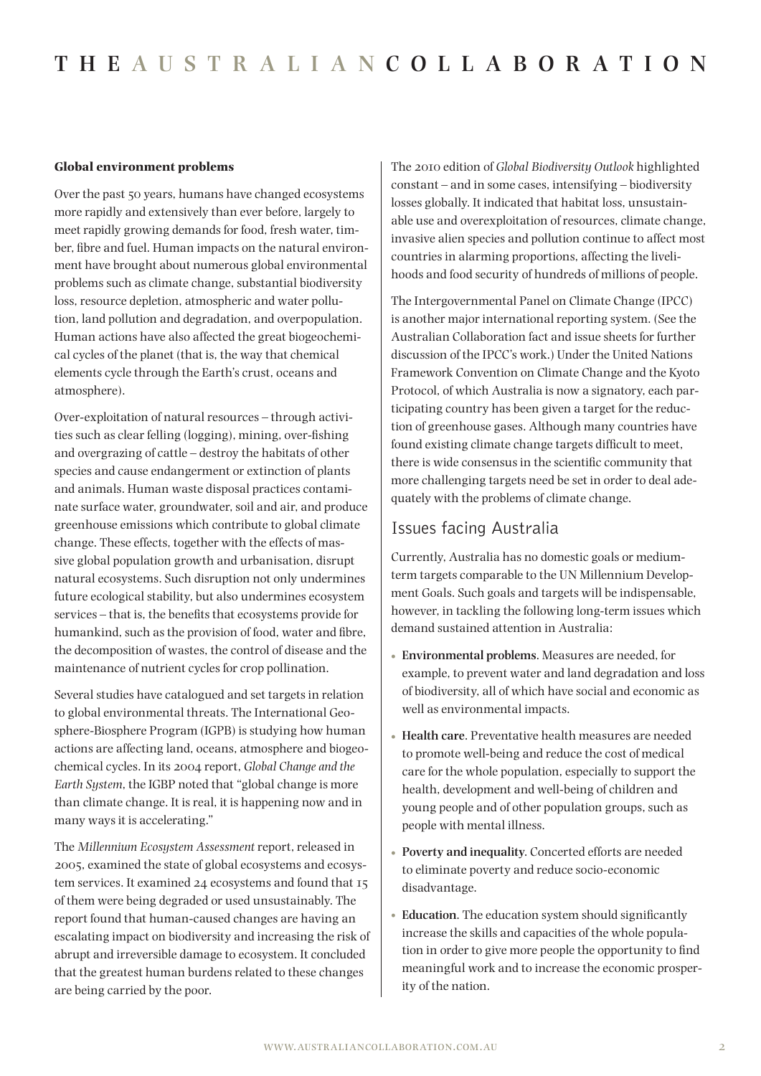#### **Global environment problems**

Over the past 50 years, humans have changed ecosystems more rapidly and extensively than ever before, largely to meet rapidly growing demands for food, fresh water, timber, fibre and fuel. Human impacts on the natural environment have brought about numerous global environmental problems such as climate change, substantial biodiversity loss, resource depletion, atmospheric and water pollution, land pollution and degradation, and overpopulation. Human actions have also affected the great biogeochemical cycles of the planet (that is, the way that chemical elements cycle through the Earth's crust, oceans and atmosphere).

Over-exploitation of natural resources – through activities such as clear felling (logging), mining, over-fishing and overgrazing of cattle – destroy the habitats of other species and cause endangerment or extinction of plants and animals. Human waste disposal practices contaminate surface water, groundwater, soil and air, and produce greenhouse emissions which contribute to global climate change. These effects, together with the effects of massive global population growth and urbanisation, disrupt natural ecosystems. Such disruption not only undermines future ecological stability, but also undermines ecosystem services – that is, the benefits that ecosystems provide for humankind, such as the provision of food, water and fibre, the decomposition of wastes, the control of disease and the maintenance of nutrient cycles for crop pollination.

Several studies have catalogued and set targets in relation to global environmental threats. The International Geosphere-Biosphere Program (IGPB) is studying how human actions are affecting land, oceans, atmosphere and biogeochemical cycles. In its 2004 report, *Global Change and the Earth System*, the IGBP noted that "global change is more than climate change. It is real, it is happening now and in many ways it is accelerating."

The *Millennium Ecosystem Assessment* report, released in 2005, examined the state of global ecosystems and ecosystem services. It examined 24 ecosystems and found that 15 of them were being degraded or used unsustainably. The report found that human-caused changes are having an escalating impact on biodiversity and increasing the risk of abrupt and irreversible damage to ecosystem. It concluded that the greatest human burdens related to these changes are being carried by the poor.

The 2010 edition of *Global Biodiversity Outlook* highlighted constant – and in some cases, intensifying – biodiversity losses globally. It indicated that habitat loss, unsustainable use and overexploitation of resources, climate change, invasive alien species and pollution continue to affect most countries in alarming proportions, affecting the livelihoods and food security of hundreds of millions of people.

The Intergovernmental Panel on Climate Change (IPCC) is another major international reporting system. (See the Australian Collaboration fact and issue sheets for further discussion of the IPCC's work.) Under the United Nations Framework Convention on Climate Change and the Kyoto Protocol, of which Australia is now a signatory, each participating country has been given a target for the reduction of greenhouse gases. Although many countries have found existing climate change targets difficult to meet, there is wide consensus in the scientific community that more challenging targets need be set in order to deal adequately with the problems of climate change.

#### Issues facing Australia

Currently, Australia has no domestic goals or mediumterm targets comparable to the UN Millennium Development Goals. Such goals and targets will be indispensable, however, in tackling the following long-term issues which demand sustained attention in Australia:

- **• Environmental problems**. Measures are needed, for example, to prevent water and land degradation and loss of biodiversity, all of which have social and economic as well as environmental impacts.
- **• Health care**. Preventative health measures are needed to promote well-being and reduce the cost of medical care for the whole population, especially to support the health, development and well-being of children and young people and of other population groups, such as people with mental illness.
- **• Poverty and inequality**. Concerted efforts are needed to eliminate poverty and reduce socio-economic disadvantage.
- **• Education**. The education system should significantly increase the skills and capacities of the whole population in order to give more people the opportunity to find meaningful work and to increase the economic prosperity of the nation.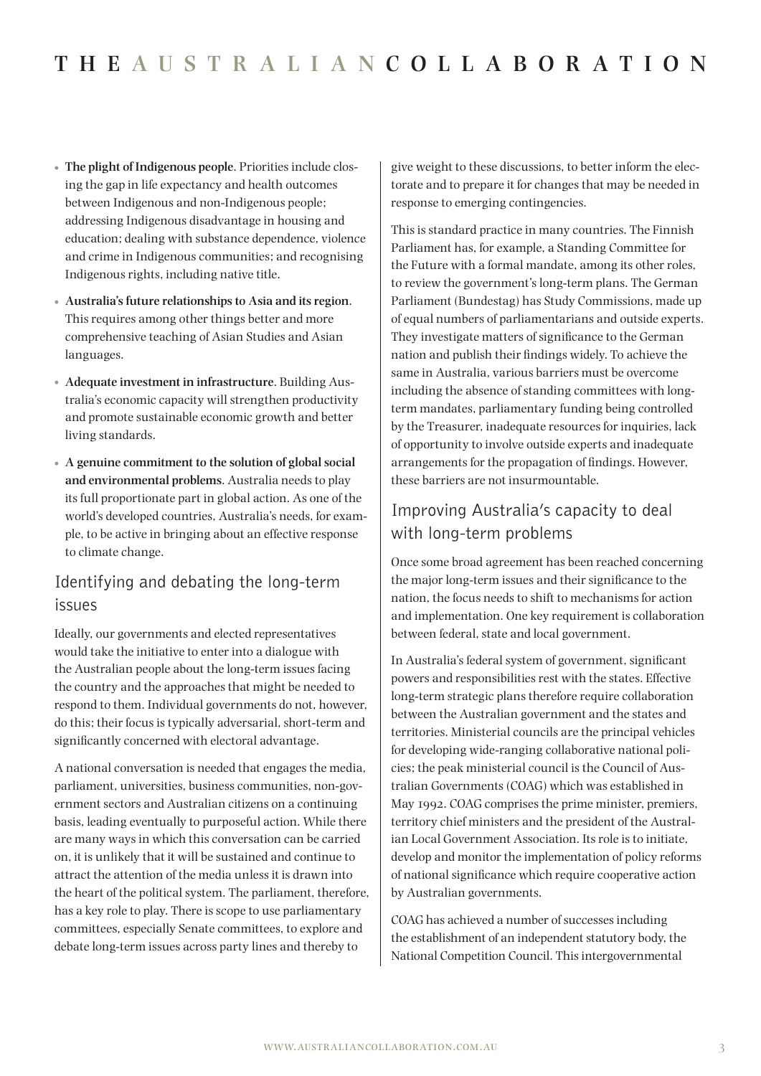- **• The plight of Indigenous people**. Priorities include closing the gap in life expectancy and health outcomes between Indigenous and non-Indigenous people; addressing Indigenous disadvantage in housing and education; dealing with substance dependence, violence and crime in Indigenous communities; and recognising Indigenous rights, including native title.
- **• Australia's future relationships to Asia and its region**. This requires among other things better and more comprehensive teaching of Asian Studies and Asian languages.
- **• Adequate investment in infrastructure**. Building Australia's economic capacity will strengthen productivity and promote sustainable economic growth and better living standards.
- **• A genuine commitment to the solution of global social and environmental problems**. Australia needs to play its full proportionate part in global action. As one of the world's developed countries, Australia's needs, for example, to be active in bringing about an effective response to climate change.

### Identifying and debating the long-term issues

Ideally, our governments and elected representatives would take the initiative to enter into a dialogue with the Australian people about the long-term issues facing the country and the approaches that might be needed to respond to them. Individual governments do not, however, do this; their focus is typically adversarial, short-term and significantly concerned with electoral advantage.

A national conversation is needed that engages the media, parliament, universities, business communities, non-government sectors and Australian citizens on a continuing basis, leading eventually to purposeful action. While there are many ways in which this conversation can be carried on, it is unlikely that it will be sustained and continue to attract the attention of the media unless it is drawn into the heart of the political system. The parliament, therefore, has a key role to play. There is scope to use parliamentary committees, especially Senate committees, to explore and debate long-term issues across party lines and thereby to

give weight to these discussions, to better inform the electorate and to prepare it for changes that may be needed in response to emerging contingencies.

This is standard practice in many countries. The Finnish Parliament has, for example, a Standing Committee for the Future with a formal mandate, among its other roles, to review the government's long-term plans. The German Parliament (Bundestag) has Study Commissions, made up of equal numbers of parliamentarians and outside experts. They investigate matters of significance to the German nation and publish their findings widely. To achieve the same in Australia, various barriers must be overcome including the absence of standing committees with longterm mandates, parliamentary funding being controlled by the Treasurer, inadequate resources for inquiries, lack of opportunity to involve outside experts and inadequate arrangements for the propagation of findings. However, these barriers are not insurmountable.

## Improving Australia's capacity to deal with long-term problems

Once some broad agreement has been reached concerning the major long-term issues and their significance to the nation, the focus needs to shift to mechanisms for action and implementation. One key requirement is collaboration between federal, state and local government.

In Australia's federal system of government, significant powers and responsibilities rest with the states. Effective long-term strategic plans therefore require collaboration between the Australian government and the states and territories. Ministerial councils are the principal vehicles for developing wide-ranging collaborative national policies; the peak ministerial council is the Council of Australian Governments (COAG) which was established in May 1992. COAG comprises the prime minister, premiers, territory chief ministers and the president of the Australian Local Government Association. Its role is to initiate, develop and monitor the implementation of policy reforms of national significance which require cooperative action by Australian governments.

COAG has achieved a number of successes including the establishment of an independent statutory body, the National Competition Council. This intergovernmental